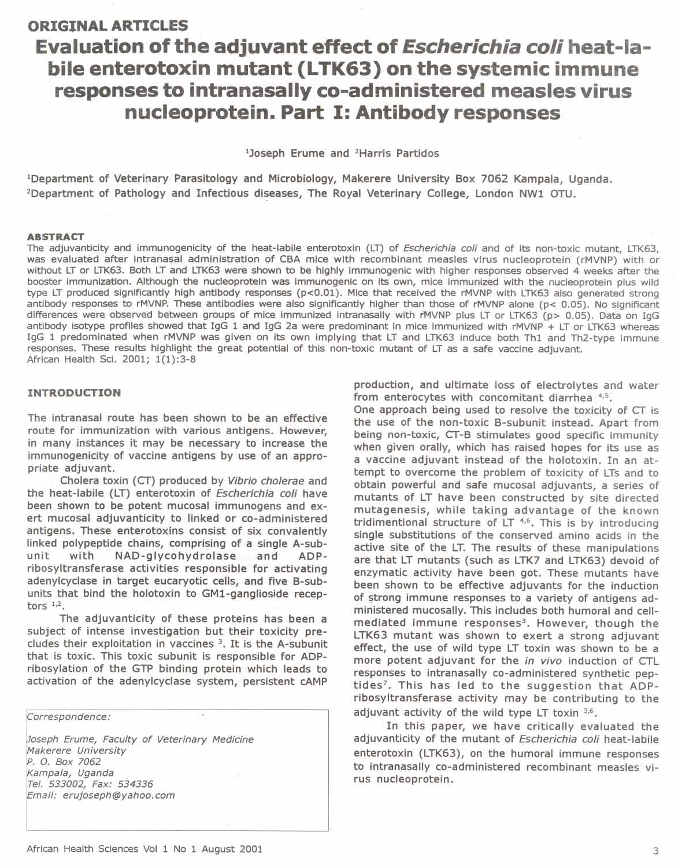## **ORIGINAL ARTICLES**

# **Evaluation of the adjuvant effect of** *Escherichia coli* **heat-labile enterotoxin mutant (LTK63) on the systemic immune responses to intranasally co-administered measles virus nucleoprotein. Part I: Antibody responses**

1Joseph Erume and <sup>2</sup>Harris Partidos

lDepartment of Veterinary Parasitology and Microbiology, Makerere University Box 7062 Kampala, Uganda. 2Department of Pathology and Infectious diseases, The Royal Veterinary College, London NWl OTU.

#### ABSTRACT

The adjuvanticity and immunogeniclty of the heat-labile enterotoxin (LT) of *Escherichia coli* and of its non-toxic mutant, LTK63, was evaluated after Intranasal administration of CBA mice with recombinant measles virus nucleoprotein (rMVNP) with or without LT or LTK63. Both LT and LTK63 were shown to be highly immunogenic with higher responses observed 4 weeks after the booster immunization. Although the nucleoprotein was immunogenic on its own, mice immunized with the nucleoprotein plus wild type LT produced significantly high antibody responses (p<0.01). Mice that received the rMVNP with LTK63 also generated strong antibody responses to rMVNP. These antibodies were also significantly higher than those of rMVNP alone ( $p < 0.05$ ). No significant differences were observed between groups of mice immunized intranasally with rMVNP plus LT or LTK63 (p> 0.05). Data on IgG antibody isotype profiles showed that IgG 1 and IgG 2a were predominant in mice immunized with rMVNP + LT or LTK63 whereas IgG 1 predominated when rMVNP was given on Its own implying that LT and LTK63 induce both Th1 and Th2-type immune responses. These results highlight the great potential of this non-toxic mutant of LT as a safe vaccine adjuvant. African Health Scl. 2001; 1(1):3-8

## INTRODUCTION

The intranasal route has been shown to be an effective route for immunization with various antigens. However, in many instances it may be necessary to increase the immunogenicity of vaccine antigens by use of an appropriate adjuvant.

Cholera toxin (CT) produced by *Vibrio cholerae* and the heat-labile (LT) enterotoxin of *Escherichia coli* have been shown to be potent mucosal immunogens and exert mucosal adjuvanticity to linked or co-administered antigens. These enterotoxins consist of six convalently linked polypeptide chains, comprising of a single A-sub-NAD-glycohydrolase and ribosyltransferase activities responsible for activating adenylcyclase in target eucaryotic cells, and five B-subunits that bind the holotoxin to GM1-ganglioside receptors  $1,2$ .

The adjuvanticity of these proteins has been a subject of intense investigation but their toxicity precludes their exploitation in vaccines 3. It is the A-subunit that is toxic. This toxic subunit is responsible for ADPribosylation of the GTP binding protein which leads to activation of the adenylcyclase system, persistent cAMP

#### *orrespondence:*

*'oseph Erume, Faculty of Veterinary Medicine* **Makerere University** . O. *Box 7062 'ampala, Uganda Tel. 533002, Fax:* 534336 *'mail: erujoseph@yahoo.com*

production, and ultimate loss of electrolytes and water from enterocytes with concomitant diarrhea 4,5.

One approach being used to resolve the toxicity of CT is the use of the non-toxic B-subunit instead. Apart from being non-toxic, CT-B stimulates good specific immunity when given orally, which has raised hopes for its use as a vaccine adjuvant instead of the holotoxin. In an attempt to overcome the problem of toxicity of LTs and to obtain powerful and safe mucosal adjuvants, a series of mutants of LT have been constructed by site directed mutagenesis, while taking advantage of the known tridimentional structure of LT  $4.6$ . This is by introducing single substitutions of the conserved amino acids in the active site of the LT. The results of these manipulations are that LT mutants (such as LTK7 and LTK63) devoid of enzymatic activity have been got. These mutants have been shown to be effective adjuvants for the induction of strong immune responses to a variety of antigens administered mucosally. This includes both humoral and cellmediated immune responses<sup>3</sup>. However, though the LTK63 mutant was shown to exert a strong adjuvant effect, the use of wild type LT toxin was shown to be a more potent adjuvant for the *in vivo* induction of CTL responses to intranasally co-administered synthetic peptides7. This has led to the suggestion that ADPribosyltransferase activity may be contributing to the adjuvant activity of the wild type LT toxin  $3,6$ .

In this paper, we have critically evaluated the adjuvanticity of the mutant of *Escherichia coli* heat-labile enterotoxin (LTK63), on the humoral immune responses to intranasally co-administered recombinant measles virus nucleoprotein.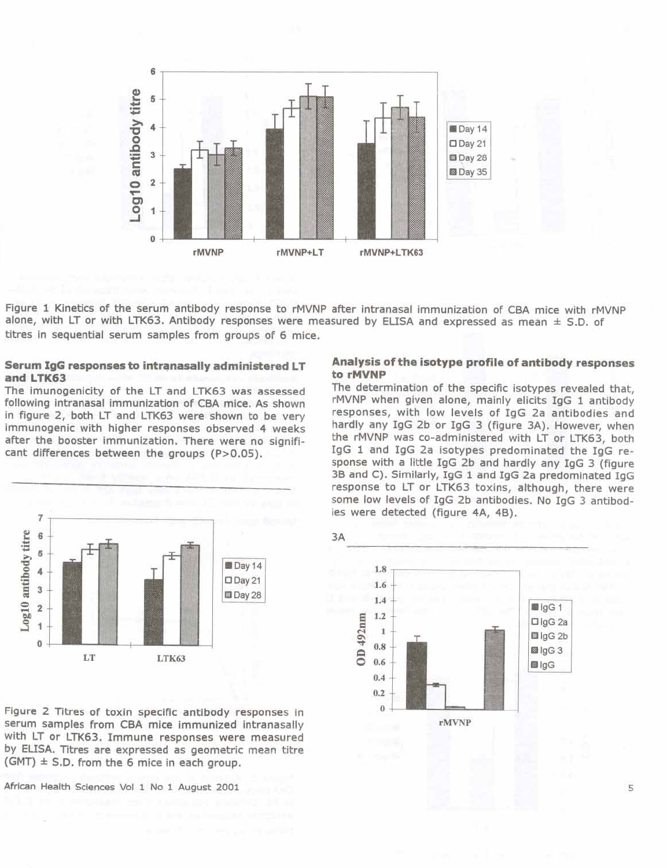

Figure 1 Kinetics of the serum antibody response to rMVNP after intranasal immunization of CBA mice with rMVNP alone, with LT or with LTK63. Antibody responses were measured by ELISA and expressed as mean  $\pm$  S.D. of titres in sequential serum samples from groups of 6 mice.

## Serum IgG responses to intranasally administered LT and LTK63

The imunogenicity of the LT and LTK63 was assessed following intranasal immunization of CBA mice. As shown in figure 2, both LT and LTK63 were shown to be very immunogenic with higher responses observed 4 weeks after the booster immunization. There were no significant differences between the groups (P>0.05).



Figure 2 Titres of toxin specific antibody responses in serum samples from CBA mice immunized intranasally with LT or LTK63. Immune responses were measured by ELISA. Titres are expressed as geometric mean titre  $(GMT) \pm S.D.$  from the 6 mice in each group.

African Health Sciences Vol 1 No 1 August 2001

## Analysis of the isotype profile of antibody responses to rMVNP

The determination of the specific isotypes revealed that, rMVNP when given alone, mainly elicits IgG 1 antibody responses, with low levels of IqG 2a antibodies and hardly any IgG 2b or IgG 3 (figure 3A). However, when the rMVNP was co-administered with LT or LTK63, both IgG 1 and IgG 2a isotypes predominated the IgG response with a little IgG 2b and hardly any IgG 3 (figure 3B and C). Similarly, IgG 1 and IgG 2a predominated IgG response to LT or LTK63 toxins, although, there were some low levels of IgG 2b antibodies. No IgG 3 antibodies were detected (figure 4A, 4B).



5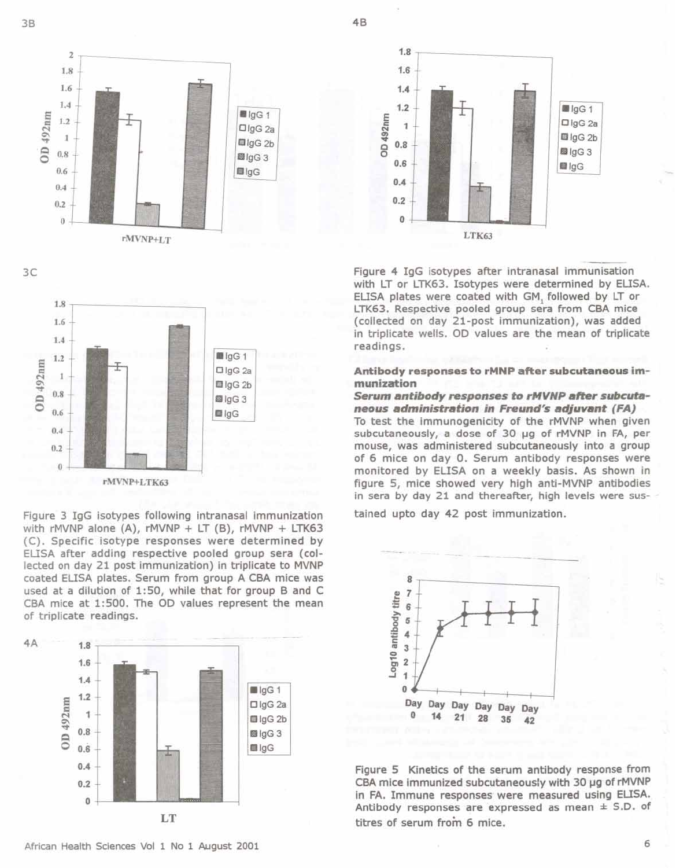







Figure 3 IgG isotypes following intranasal immunization with rMVNP alone (A), rMVNP + LT (B), rMVNP + LTK63 (C). Specific isotype responses were determined by EUSA after adding respective pooled group sera (collected on day 21 post immunization) in triplicate to MVNP coated ELISA plates. Serum from group A CBA mice was used at a dilution of 1:50, while that for group B and C CBA mice at 1:500. The OD values represent the mean of triplicate readings.







~~-- Figure 4 IgG isotypes after intranasal immunisation with LT or LTK63. Isotypes were determined by ELISA. ELISA plates were coated with GM, followed by LT or LTK63. Respective pooled group sera from CBA mice (collected on day 21-post immunization), was added in triplicate wells. OD values are the mean of triplicate readings.

## **Antibody responses to rMNPafter subcutaneous** im**munization**

#### *Serum antibody responses* **to** *rMVNP* **after** *subcuta***neous administration in** *Freund's* **a4;uvant** *(FA)*

To test the immunogenicity of the rMVNP when given subcutaneously, a dose of 30 ug of rMVNP in FA, per mouse, was administered subcutaneously into a group of 6 mice on day O. Serum antibody responses were monitored by ELISA on a weekly basis. As shown in figure 5, mice showed very high anti-MVNP antibodies in sera by day 21 and thereafter, high levels were sus-

tained upto day 42 post immunization.



Figure 5 Kinetics of the serum antibody response from CBA mice immunized subcutaneously with 30 µg of rMVNP in FA. Immune responses were measured using ELISA. Antibody responses are expressed as mean  $\pm$  S.D. of titres of serum from 6 mice.

4B

6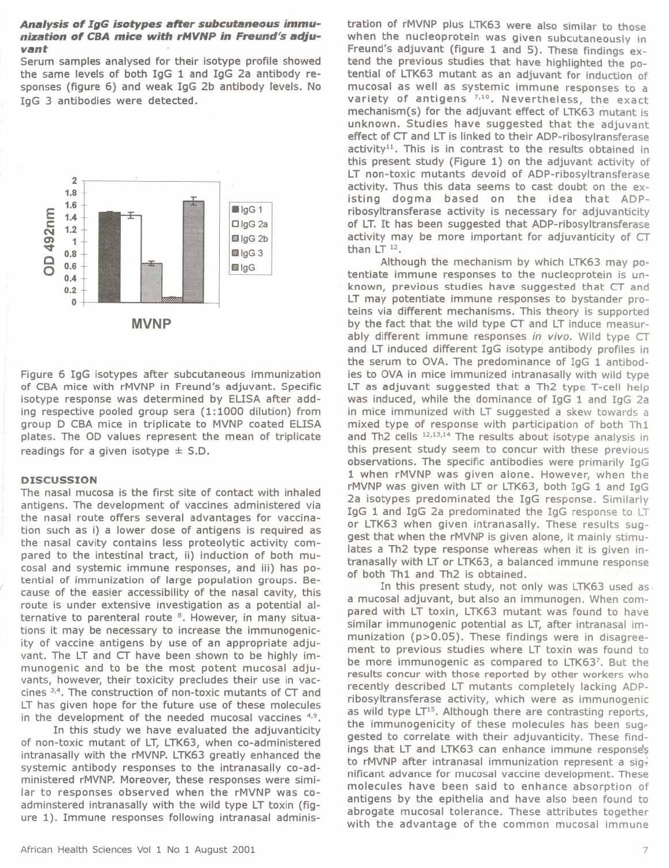#### *Analysis* **of** *IgG isotypes after subcutaneous immunization* **of** *CBA mice with rMVNP in Freund's adjuvant*

Serum samples analysed for their isotype profile showed the same levels of both IgG 1 and IgG 2a antibody responses (figure 6) and weak IgG 2b antibody levels. No IgG 3 antibodies were detected.



Figure 6 IgG isotypes after subcutaneous immunization of CBA mice with rMVNP in Freund's adjuvant. Specific isotype response was determined by ELISA after adding respective pooled group sera (1: 1000 dilution) from group D CBA mice in triplicate to MVNP coated ELISA plates. The OD values represent the mean of triplicate readings for a given isotype  $\pm$  S.D.

#### **DISCUSSION**

The nasal mucosa is the first site of contact with inhaled antigens. The development of vaccines administered via the nasal route offers several advantages for vaccination such as i) a lower dose of antigens is required as the nasal cavity contains less proteolytic activity compared to the intestinal tract, ii) induction of both mucosal and systemic immune responses, and iii) has potential of immunization of large population groups. Because of the easier accessibility of the nasal cavity, this route is under extensive investigation as a potential alternative to parenteral route <sup>8</sup>. However, in many situations it may be necessary to increase the immunogenicity of vaccine antigens by use of an appropriate adjuvant. The LT and CT have been shown to be highly immunogenic and to be the most potent mucosal adjuvants, however, their toxicity precludes their use in vaccines <sup>3,4</sup>. The construction of non-toxic mutants of CT and LT has given hope for the future use of these molecules in the development of the needed mucosal vaccines 4,9.

In this study we have evaluated the adjuvanticity of non-toxic mutant of LT, LTK63, when co-administered intranasally with the rMVNP. LTK63 greatly enhanced the systemic antibody responses to the intranasally co-administered rMVNP. Moreover, these responses were similar to responses observed when the rMVNP was coadminstered intranasally with the wild type LT toxin (figure 1). Immune responses following intranasal administration of rMVNP plus LTK63 were also similar to those when the nucleoprotein was given subcutaneously in Freund's adjuvant (figure 1 and 5). These findings extend the previous studies that have highlighted the potential of LTK63 mutant as an adjuvant for induction of mucosal as well as systemic immune responses to a variety of antigens 7,10. Nevertheless, the exact mechanism(s) for the adjuvant effect of LTK63 mutant is unknown. Studies have suggested that the adjuvant effect of CT and LT is linked to their ADP-ribosylransferase activity<sup>11</sup>. This is in contrast to the results obtained in this present study (Figure 1) on the adjuvant activity of LT non-toxic mutants devoid of ADP-ribosyltransferase activity. Thus this data seems to cast doubt on the existing dogma based on the idea that ADPribosyltransferase activity is necessary for adjuvanticity of LT. It has been suggested that ADP-ribosyltransferase activity may be more important for adjuvanticity of CT than  $LT$ <sup>12</sup>.

Although the mechanism by which LTK63 may potentiate immune responses to the nucleoprotein is unknown, previous studies have suggested that CT and LT may potentiate immune responses to bystander proteins via different mechanisms. This theory is supported by the fact that the wild type CT and LT induce measurably different immune responses *in. vivo.* Wild type CT and LT induced different IgG isotype antibody profiles in the serum to OVA. The predominance of IgG 1 antibodies to OVA in mice immunized intranasally with wild type LT as adjuvant suggested that a Th2 type T-cell help was induced, while the dominance of IgG 1 and IgG 2a in mice immunized with LT suggested a skew towards a mixed type of response with participation of both Thl and Th2 cells 12,13,14 The results about isotype analysis in this present study seem to concur with these previous observations. The specific antibodies were primarily IgG 1 when rMVNP was given alone. However, when the rMVNP was given with LT or LTK63, both IgG 1 and IgG 2a isotypes predominated the IgG response. Similarly IgG 1 and IgG 2a predominated the IgG response to LT or LTK63 when given intranasally. These results suggest that when the rMVNP is given alone, it mainly stimulates a Th2 type response whereas when it is given intranasally with LTor LTK63, a balanced immune response of both Thl and Th2 is obtained.

In this present study, not only was LTK63 used as. a mucosal adjuvant, but also an immunogen. When compared with LT toxin, LTK63 mutant was found to have similar immunogenic potential as LT, after intranasal immunization (p>0.05). These findings were in disagreement to previous studies where LT toxin was found to be more immunogenic as compared to LTK63<sup>7</sup>. But the results concur with those reported by other workers who recently described LT mutants completely lacking ADPribosyltransferase activity, which were as immunogenic as wild type LT<sup>15</sup>. Although there are contrasting reports, the immunogenicity of these molecules has been suggested to correlate with their adjuvanticity. These findings that LT and LTK63 can enhance immune responses to rMVNP after intranasal immunization represent a significant advance for mucosal vaccine development. These molecules have been said to enhance absorption of antigens by the epithelia and have also been found to abrogate mucosal tolerance. These attributes together with the advantage of the common mucosal immune